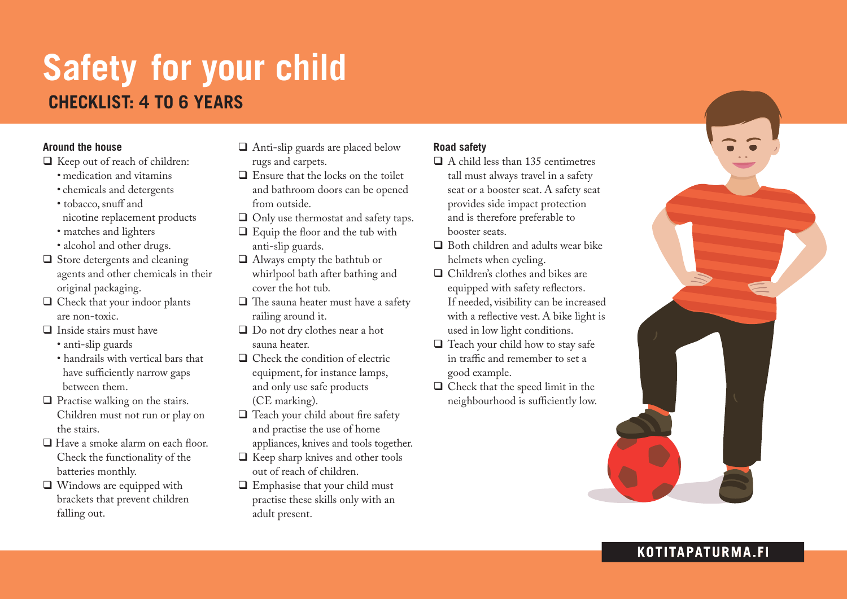# **Safety for your child CHECKLIST: 4 to 6 YEARs**

#### **Around the house**

- $\Box$  Keep out of reach of children:
	- medication and vitamins
	- chemicals and detergents
	- tobacco, snuff and nicotine replacement products
	- matches and lighters
	- alcohol and other drugs.
- $\Box$  Store detergents and cleaning agents and other chemicals in their original packaging.
- $\Box$  Check that your indoor plants are non-toxic.
- $\Box$  Inside stairs must have
	- anti-slip guards
	- handrails with vertical bars that have sufficiently narrow gaps between them.
- $\Box$  Practise walking on the stairs. Children must not run or play on the stairs.
- $\Box$  Have a smoke alarm on each floor. Check the functionality of the batteries monthly.
- $\Box$  Windows are equipped with brackets that prevent children falling out.
- $\Box$  Anti-slip guards are placed below rugs and carpets.
- $\Box$  Ensure that the locks on the toilet and bathroom doors can be opened from outside.
- $\Box$  Only use thermostat and safety taps.
- $\Box$  Equip the floor and the tub with anti-slip guards.
- $\Box$  Always empty the bathtub or whirlpool bath after bathing and cover the hot tub.
- $\Box$  The sauna heater must have a safety railing around it.
- $\Box$  Do not dry clothes near a hot sauna heater.
- $\Box$  Check the condition of electric equipment, for instance lamps, and only use safe products (CE marking).
- $\Box$  Teach your child about fire safety and practise the use of home appliances, knives and tools together.
- $\Box$  Keep sharp knives and other tools out of reach of children.
- $\Box$  Emphasise that your child must practise these skills only with an adult present.

## **Road safety**

- $\Box$  A child less than 135 centimetres tall must always travel in a safety seat or a booster seat. A safety seat provides side impact protection and is therefore preferable to booster seats.
- $\Box$  Both children and adults wear bike helmets when cycling.
- $\Box$  Children's clothes and bikes are equipped with safety reflectors. If needed, visibility can be increased with a reflective vest. A bike light is used in low light conditions.
- $\Box$  Teach your child how to stay safe in traffic and remember to set a good example.
- $\Box$  Check that the speed limit in the neighbourhood is sufficiently low.